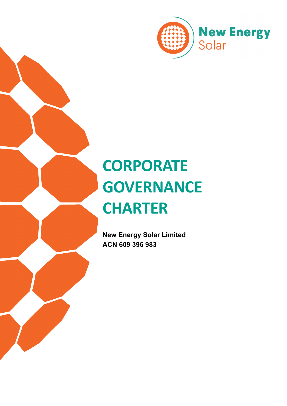

# **CORPORATE GOVERNANCE CHARTER**

**New Energy Solar Limited ACN 609 396 983**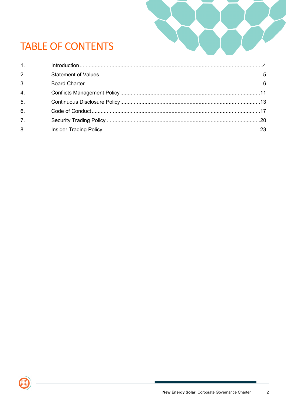

# **TABLE OF CONTENTS**

| $1.$ $\sim$      |  |
|------------------|--|
| 2 <sup>1</sup>   |  |
| 3 <sub>1</sub>   |  |
| 4.               |  |
| 5.               |  |
| 6.               |  |
| $\overline{7}$ . |  |
| 8.               |  |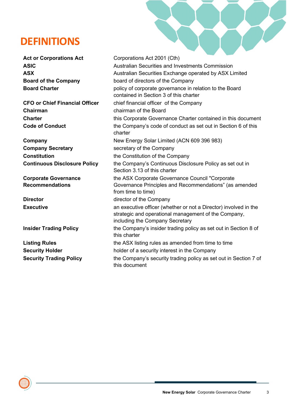# **DEFINITIONS**

**ASIC ASX**

**Chairman Chairman chairman of the Board** 

**Company Secretary Secretary secretary of the Company** 

**Corporate Governance Recommendations** 

Act or Corporations Act **Corporations Act** Corporations Act 2001 (Cth) Australian Securities and Investments Commission Australian Securities Exchange operated by ASX Limited **Board of the Company** board of directors of the Company **Board Charter Example 20** policy of corporate governance in relation to the Board contained in Section 3 of this charter **CFO or Chief Financial Officer** chief financial officer of the Company **Charter Charter this Corporate Governance Charter contained in this document Code of Conduct the Company's code of conduct as set out in Section 6 of this** charter **Company** New Energy Solar Limited (ACN 609 396 983) **Constitution Constitution the Constitution of the Company Continuous Disclosure Policy** the Company's Continuous Disclosure Policy as set out in Section 3.13 of this charter the ASX Corporate Governance Council "Corporate Governance Principles and Recommendations" (as amended from time to time) **Director Director director director director director director director director director director director director director director director director director director director d Executive** an executive officer (whether or not a Director) involved in the strategic and operational management of the Company, including the Company Secretary **Insider Trading Policy** the Company's insider trading policy as set out in Section 8 of this charter **Listing Rules** the ASX listing rules as amended from time to time **Security Holder Security Holder holder** of a security interest in the Company **Security Trading Policy** the Company's security trading policy as set out in Section 7 of this document

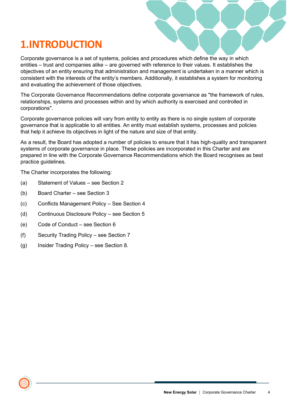# <span id="page-3-0"></span>**1.INTRODUCTION**

Corporate governance is a set of systems, policies and procedures which define the way in which entities – trust and companies alike – are governed with reference to their values. It establishes the objectives of an entity ensuring that administration and management is undertaken in a manner which is consistent with the interests of the entity's members. Additionally, it establishes a system for monitoring and evaluating the achievement of those objectives.

The Corporate Governance Recommendations define corporate governance as "the framework of rules, relationships, systems and processes within and by which authority is exercised and controlled in corporations".

Corporate governance policies will vary from entity to entity as there is no single system of corporate governance that is applicable to all entities. An entity must establish systems, processes and policies that help it achieve its objectives in light of the nature and size of that entity.

As a result, the Board has adopted a number of policies to ensure that it has high-quality and transparent systems of corporate governance in place. These policies are incorporated in this Charter and are prepared in line with the Corporate Governance Recommendations which the Board recognises as best practice guidelines.

The Charter incorporates the following:

- (a) Statement of Values see Section 2
- (b) Board Charter see Section 3
- (c) Conflicts Management Policy See Section 4
- (d) Continuous Disclosure Policy see Section 5
- (e) Code of Conduct see Section 6
- (f) Security Trading Policy see Section 7
- (g) Insider Trading Policy see Section 8.

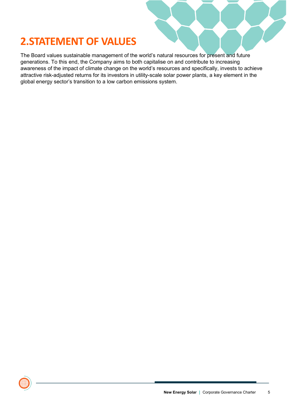# <span id="page-4-0"></span>**2.STATEMENT OF VALUES**

The Board values sustainable management of the world's natural resources for present and future generations. To this end, the Company aims to both capitalise on and contribute to increasing awareness of the impact of climate change on the world's resources and specifically, invests to achieve attractive risk-adjusted returns for its investors in utility-scale solar power plants, a key element in the global energy sector's transition to a low carbon emissions system.

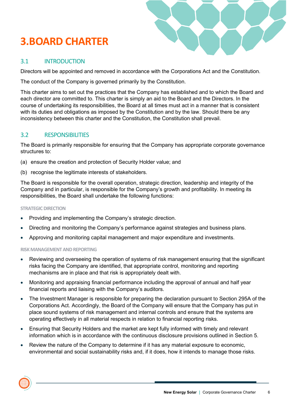# <span id="page-5-0"></span>**3.BOARD CHARTER**



## 3.1 INTRODUCTION

Directors will be appointed and removed in accordance with the Corporations Act and the Constitution.

The conduct of the Company is governed primarily by the Constitution.

This charter aims to set out the practices that the Company has established and to which the Board and each director are committed to. This charter is simply an aid to the Board and the Directors. In the course of undertaking its responsibilities, the Board at all times must act in a manner that is consistent with its duties and obligations as imposed by the Constitution and by the law. Should there be any inconsistency between this charter and the Constitution, the Constitution shall prevail.

#### 3.2 RESPONSIBILITIES

The Board is primarily responsible for ensuring that the Company has appropriate corporate governance structures to:

- (a) ensure the creation and protection of Security Holder value; and
- (b) recognise the legitimate interests of stakeholders.

The Board is responsible for the overall operation, strategic direction, leadership and integrity of the Company and in particular, is responsible for the Company's growth and profitability. In meeting its responsibilities, the Board shall undertake the following functions:

#### **STRATEGIC DIRECTION**

- Providing and implementing the Company's strategic direction.
- Directing and monitoring the Company's performance against strategies and business plans.
- Approving and monitoring capital management and major expenditure and investments.

#### **RISK MANAGEMENT AND REPORTING**

- Reviewing and overseeing the operation of systems of risk management ensuring that the significant risks facing the Company are identified, that appropriate control, monitoring and reporting mechanisms are in place and that risk is appropriately dealt with.
- Monitoring and appraising financial performance including the approval of annual and half year financial reports and liaising with the Company's auditors.
- The Investment Manager is responsible for preparing the declaration pursuant to Section 295A of the Corporations Act. Accordingly, the Board of the Company will ensure that the Company has put in place sound systems of risk management and internal controls and ensure that the systems are operating effectively in all material respects in relation to financial reporting risks.
- Ensuring that Security Holders and the market are kept fully informed with timely and relevant information which is in accordance with the continuous disclosure provisions outlined in Section 5.
- Review the nature of the Company to determine if it has any material exposure to economic, environmental and social sustainability risks and, if it does, how it intends to manage those risks.

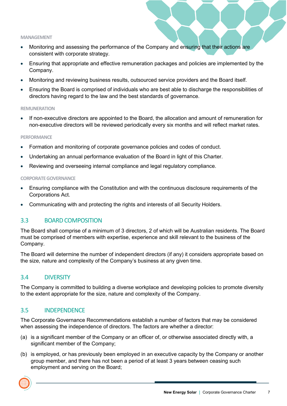#### **MANAGEMENT**

- Monitoring and assessing the performance of the Company and ensuring that their actions are consistent with corporate strategy.
- Ensuring that appropriate and effective remuneration packages and policies are implemented by the Company.
- Monitoring and reviewing business results, outsourced service providers and the Board itself.
- Ensuring the Board is comprised of individuals who are best able to discharge the responsibilities of directors having regard to the law and the best standards of governance.

#### **REMUNERATION**

If non-executive directors are appointed to the Board, the allocation and amount of remuneration for non-executive directors will be reviewed periodically every six months and will reflect market rates.

#### **PERFORMANCE**

- Formation and monitoring of corporate governance policies and codes of conduct.
- Undertaking an annual performance evaluation of the Board in light of this Charter.
- Reviewing and overseeing internal compliance and legal regulatory compliance.

#### **CORPORATE GOVERNANCE**

- Ensuring compliance with the Constitution and with the continuous disclosure requirements of the Corporations Act.
- Communicating with and protecting the rights and interests of all Security Holders.

#### 3.3 BOARD COMPOSITION

The Board shall comprise of a minimum of 3 directors, 2 of which will be Australian residents. The Board must be comprised of members with expertise, experience and skill relevant to the business of the Company.

The Board will determine the number of independent directors (if any) it considers appropriate based on the size, nature and complexity of the Company's business at any given time.

#### 3.4 DIVERSITY

The Company is committed to building a diverse workplace and developing policies to promote diversity to the extent appropriate for the size, nature and complexity of the Company.

#### 3.5 INDEPENDENCE

The Corporate Governance Recommendations establish a number of factors that may be considered when assessing the independence of directors. The factors are whether a director:

- (a) is a significant member of the Company or an officer of, or otherwise associated directly with, a significant member of the Company;
- (b) is employed, or has previously been employed in an executive capacity by the Company or another group member, and there has not been a period of at least 3 years between ceasing such employment and serving on the Board;

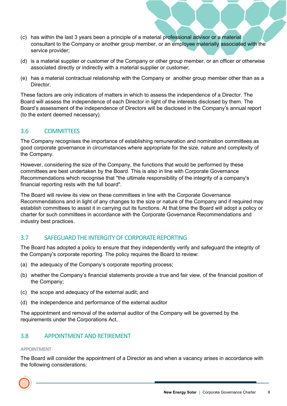- (c) has within the last 3 years been a principle of a material professional advisor or a material consultant to the Company or another group member, or an employee materially associated with the service provider;
- (d) is a material supplier or customer of the Company or other group member, or an officer or otherwise associated directly or indirectly with a material supplier or customer;
- (e) has a material contractual relationship with the Company or another group member other than as a **Director**

These factors are only indicators of matters in which to assess the independence of a Director. The Board will assess the independence of each Director in light of the interests disclosed by them. The Board's assessment of the independence of Directors will be disclosed in the Company's annual report (to the extent deemed necessary).

## 3.6 COMMITTEES

The Company recognises the importance of establishing remuneration and nomination committees as good corporate governance in circumstances where appropriate for the size, nature and complexity of the Company.

However, considering the size of the Company, the functions that would be performed by these committees are best undertaken by the Board. This is also in line with Corporate Governance Recommendations which recognise that "the ultimate responsibility of the integrity of a company's financial reporting rests with the full board".

The Board will review its view on these committees in line with the Corporate Governance Recommendations and in light of any changes to the size or nature of the Company and if required may establish committees to assist it in carrying out its functions. At that time the Board will adopt a policy or charter for such committees in accordance with the Corporate Governance Recommendations and industry best practices.

#### 3.7 SAFEGUARD THE INTERGITY OF CORPORATE REPORTING

The Board has adopted a policy to ensure that they independently verify and safeguard the integrity of the Company's corporate reporting. The policy requires the Board to review:

- (a) the adequacy of the Company's corporate reporting process;
- (b) whether the Company's financial statements provide a true and fair view, of the financial position of the Company;
- (c) the scope and adequacy of the external audit; and
- (d) the independence and performance of the external auditor

The appointment and removal of the external auditor of the Company will be governed by the requirements under the Corporations Act.

## 3.8 APPOINTMENT AND RETIREMENT

#### **APPOINTMENT**

The Board will consider the appointment of a Director as and when a vacancy arises in accordance with the following considerations:

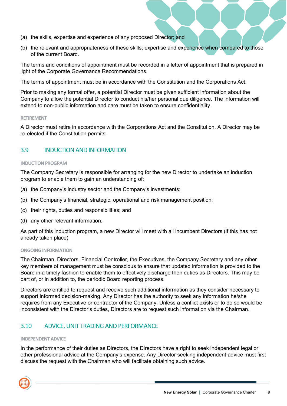- (a) the skills, expertise and experience of any proposed Director; and
- (b) the relevant and appropriateness of these skills, expertise and experience when compared to those of the current Board.

The terms and conditions of appointment must be recorded in a letter of appointment that is prepared in light of the Corporate Governance Recommendations.

The terms of appointment must be in accordance with the Constitution and the Corporations Act.

Prior to making any formal offer, a potential Director must be given sufficient information about the Company to allow the potential Director to conduct his/her personal due diligence. The information will extend to non-public information and care must be taken to ensure confidentiality.

#### **RETIREMENT**

A Director must retire in accordance with the Corporations Act and the Constitution. A Director may be re-elected if the Constitution permits.

#### 3.9 INDUCTION AND INFORMATION

#### **INDUCTION PROGRAM**

The Company Secretary is responsible for arranging for the new Director to undertake an induction program to enable them to gain an understanding of:

- (a) the Company's industry sector and the Company's investments;
- (b) the Company's financial, strategic, operational and risk management position;
- (c) their rights, duties and responsibilities; and
- (d) any other relevant information.

As part of this induction program, a new Director will meet with all incumbent Directors (if this has not already taken place).

#### **ONGOING INFORMATION**

The Chairman, Directors, Financial Controller, the Executives, the Company Secretary and any other key members of management must be conscious to ensure that updated information is provided to the Board in a timely fashion to enable them to effectively discharge their duties as Directors. This may be part of, or in addition to, the periodic Board reporting process.

Directors are entitled to request and receive such additional information as they consider necessary to support informed decision-making. Any Director has the authority to seek any information he/she requires from any Executive or contractor of the Company. Unless a conflict exists or to do so would be inconsistent with the Director's duties, Directors are to request such information via the Chairman.

#### 3.10 ADVICE, UNIT TRADING AND PERFORMANCE

#### **INDEPENDENT ADVICE**

In the performance of their duties as Directors, the Directors have a right to seek independent legal or other professional advice at the Company's expense. Any Director seeking independent advice must first discuss the request with the Chairman who will facilitate obtaining such advice.

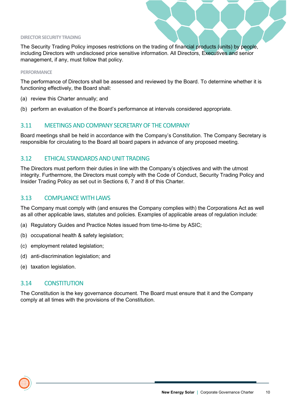#### **DIRECTOR SECURITY TRADING**

The Security Trading Policy imposes restrictions on the trading of financial products (units) by people, including Directors with undisclosed price sensitive information. All Directors, Executives and senior management, if any, must follow that policy.

#### **PERFORMANCE**

The performance of Directors shall be assessed and reviewed by the Board. To determine whether it is functioning effectively, the Board shall:

- (a) review this Charter annually; and
- (b) perform an evaluation of the Board's performance at intervals considered appropriate.

#### 3.11 MEETINGS AND COMPANY SECRETARY OF THE COMPANY

Board meetings shall be held in accordance with the Company's Constitution. The Company Secretary is responsible for circulating to the Board all board papers in advance of any proposed meeting.

#### 3.12 ETHICAL STANDARDS AND UNIT TRADING

The Directors must perform their duties in line with the Company's objectives and with the utmost integrity. Furthermore, the Directors must comply with the Code of Conduct, Security Trading Policy and Insider Trading Policy as set out in Sections 6, 7 and 8 of this Charter.

#### 3.13 COMPLIANCE WITH LAWS

The Company must comply with (and ensures the Company complies with) the Corporations Act as well as all other applicable laws, statutes and policies. Examples of applicable areas of regulation include:

- (a) Regulatory Guides and Practice Notes issued from time-to-time by ASIC;
- (b) occupational health & safety legislation;
- (c) employment related legislation;
- (d) anti-discrimination legislation; and
- (e) taxation legislation.

#### 3.14 CONSTITUTION

The Constitution is the key governance document. The Board must ensure that it and the Company comply at all times with the provisions of the Constitution.

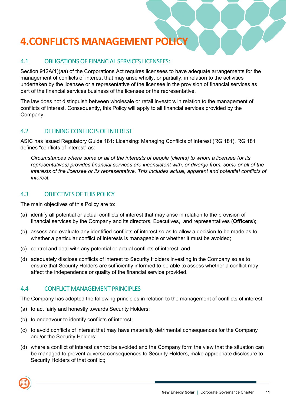# <span id="page-10-0"></span>**4.CONFLICTS MANAGEMENT POLICY**

#### 4.1 OBLIGATIONS OF FINANCIAL SERVICES LICENSEES:

Section 912A(1)(aa) of the Corporations Act requires licensees to have adequate arrangements for the management of conflicts of interest that may arise wholly, or partially, in relation to the activities undertaken by the licensee or a representative of the licensee in the provision of financial services as part of the financial services business of the licensee or the representative.

The law does not distinguish between wholesale or retail investors in relation to the management of conflicts of interest. Consequently, this Policy will apply to all financial services provided by the Company.

#### 4.2 DEFINING CONFLICTS OF INTEREST

ASIC has issued Regulatory Guide 181: Licensing: Managing Conflicts of Interest (RG 181). RG 181 defines "conflicts of interest" as:

*Circumstances where some or all of the interests of people (clients) to whom a licensee (or its representatives) provides financial services are inconsistent with, or diverge from, some or all of the interests of the licensee or its representative. This includes actual, apparent and potential conflicts of interest.*

#### 4.3 OBJECTIVES OF THIS POLICY

The main objectives of this Policy are to:

- (a) identify all potential or actual conflicts of interest that may arise in relation to the provision of financial services by the Company and its directors, Executives, and representatives (**Officers**);
- (b) assess and evaluate any identified conflicts of interest so as to allow a decision to be made as to whether a particular conflict of interests is manageable or whether it must be avoided;
- (c) control and deal with any potential or actual conflicts of interest; and
- (d) adequately disclose conflicts of interest to Security Holders investing in the Company so as to ensure that Security Holders are sufficiently informed to be able to assess whether a conflict may affect the independence or quality of the financial service provided.

#### 4.4 CONFLICT MANAGEMENT PRINCIPLES

The Company has adopted the following principles in relation to the management of conflicts of interest:

- (a) to act fairly and honestly towards Security Holders;
- (b) to endeavour to identify conflicts of interest;
- (c) to avoid conflicts of interest that may have materially detrimental consequences for the Company and/or the Security Holders;
- (d) where a conflict of interest cannot be avoided and the Company form the view that the situation can be managed to prevent adverse consequences to Security Holders, make appropriate disclosure to Security Holders of that conflict;

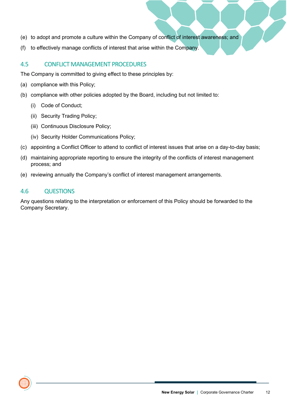- (e) to adopt and promote a culture within the Company of conflict of interest awareness; and
- (f) to effectively manage conflicts of interest that arise within the Company.

#### 4.5 CONFLICT MANAGEMENT PROCEDURES

The Company is committed to giving effect to these principles by:

- (a) compliance with this Policy;
- (b) compliance with other policies adopted by the Board, including but not limited to:
	- (i) Code of Conduct;
	- (ii) Security Trading Policy;
	- (iii) Continuous Disclosure Policy;
	- (iv) Security Holder Communications Policy;
- (c) appointing a Conflict Officer to attend to conflict of interest issues that arise on a day-to-day basis;
- (d) maintaining appropriate reporting to ensure the integrity of the conflicts of interest management process; and
- (e) reviewing annually the Company's conflict of interest management arrangements.

#### 4.6 QUESTIONS

Any questions relating to the interpretation or enforcement of this Policy should be forwarded to the Company Secretary.

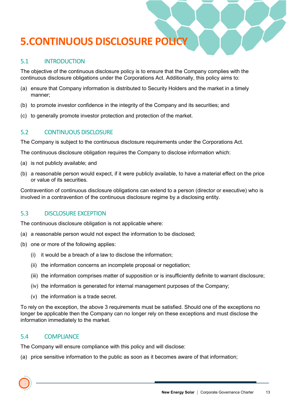# <span id="page-12-0"></span>**5.CONTINUOUS DISCLOSURE POLICY**

## 5.1 INTRODUCTION

The objective of the continuous disclosure policy is to ensure that the Company complies with the continuous disclosure obligations under the Corporations Act. Additionally, this policy aims to:

- (a) ensure that Company information is distributed to Security Holders and the market in a timely manner;
- (b) to promote investor confidence in the integrity of the Company and its securities; and
- (c) to generally promote investor protection and protection of the market.

## 5.2 CONTINUOUS DISCLOSURE

The Company is subject to the continuous disclosure requirements under the Corporations Act.

The continuous disclosure obligation requires the Company to disclose information which:

- (a) is not publicly available; and
- (b) a reasonable person would expect, if it were publicly available, to have a material effect on the price or value of its securities.

Contravention of continuous disclosure obligations can extend to a person (director or executive) who is involved in a contravention of the continuous disclosure regime by a disclosing entity.

#### 5.3 DISCLOSURE EXCEPTION

The continuous disclosure obligation is not applicable where:

- (a) a reasonable person would not expect the information to be disclosed;
- (b) one or more of the following applies:
	- (i) it would be a breach of a law to disclose the information;
	- (ii) the information concerns an incomplete proposal or negotiation;
	- (iii) the information comprises matter of supposition or is insufficiently definite to warrant disclosure;
	- (iv) the information is generated for internal management purposes of the Company;
	- (v) the information is a trade secret.

To rely on the exception, the above 3 requirements must be satisfied. Should one of the exceptions no longer be applicable then the Company can no longer rely on these exceptions and must disclose the information immediately to the market.

#### 5.4 COMPLIANCE

The Company will ensure compliance with this policy and will disclose:

(a) price sensitive information to the public as soon as it becomes aware of that information;

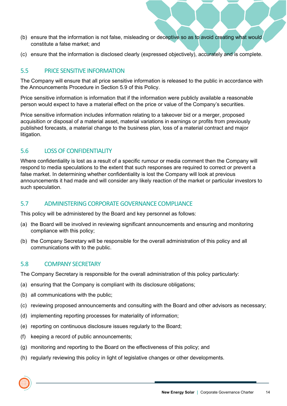- (b) ensure that the information is not false, misleading or deceptive so as to avoid creating what would constitute a false market; and
- (c) ensure that the information is disclosed clearly (expressed objectively), accurately and is complete.

#### 5.5 PRICE SENSITIVE INFORMATION

The Company will ensure that all price sensitive information is released to the public in accordance with the Announcements Procedure in Section 5.9 of this Policy.

Price sensitive information is information that if the information were publicly available a reasonable person would expect to have a material effect on the price or value of the Company's securities.

Price sensitive information includes information relating to a takeover bid or a merger, proposed acquisition or disposal of a material asset, material variations in earnings or profits from previously published forecasts, a material change to the business plan, loss of a material contract and major litigation.

#### 5.6 LOSS OF CONFIDENTIALITY

Where confidentiality is lost as a result of a specific rumour or media comment then the Company will respond to media speculations to the extent that such responses are required to correct or prevent a false market. In determining whether confidentiality is lost the Company will look at previous announcements it had made and will consider any likely reaction of the market or particular investors to such speculation.

#### 5.7 ADMINISTERING CORPORATE GOVERNANCE COMPLIANCE

This policy will be administered by the Board and key personnel as follows:

- (a) the Board will be involved in reviewing significant announcements and ensuring and monitoring compliance with this policy;
- (b) the Company Secretary will be responsible for the overall administration of this policy and all communications with to the public.

#### 5.8 COMPANY SECRETARY

The Company Secretary is responsible for the overall administration of this policy particularly:

- (a) ensuring that the Company is compliant with its disclosure obligations;
- (b) all communications with the public;
- (c) reviewing proposed announcements and consulting with the Board and other advisors as necessary;
- (d) implementing reporting processes for materiality of information;
- (e) reporting on continuous disclosure issues regularly to the Board;
- (f) keeping a record of public announcements;
- (g) monitoring and reporting to the Board on the effectiveness of this policy; and
- (h) regularly reviewing this policy in light of legislative changes or other developments.

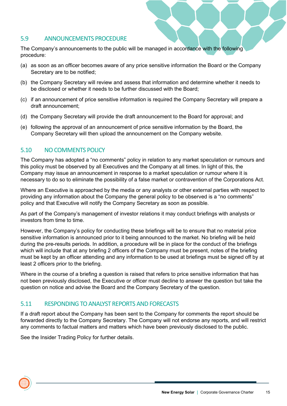#### 5.9 ANNOUNCEMENTS PROCEDURE

The Company's announcements to the public will be managed in accordance with the following procedure:

- (a) as soon as an officer becomes aware of any price sensitive information the Board or the Company Secretary are to be notified;
- (b) the Company Secretary will review and assess that information and determine whether it needs to be disclosed or whether it needs to be further discussed with the Board;
- (c) if an announcement of price sensitive information is required the Company Secretary will prepare a draft announcement;
- (d) the Company Secretary will provide the draft announcement to the Board for approval; and
- (e) following the approval of an announcement of price sensitive information by the Board, the Company Secretary will then upload the announcement on the Company website.

#### 5.10 NO COMMENTS POLICY

The Company has adopted a "no comments" policy in relation to any market speculation or rumours and this policy must be observed by all Executives and the Company at all times. In light of this, the Company may issue an announcement in response to a market speculation or rumour where it is necessary to do so to eliminate the possibility of a false market or contravention of the Corporations Act.

Where an Executive is approached by the media or any analysts or other external parties with respect to providing any information about the Company the general policy to be observed is a "no comments" policy and that Executive will notify the Company Secretary as soon as possible.

As part of the Company's management of investor relations it may conduct briefings with analysts or investors from time to time.

However, the Company's policy for conducting these briefings will be to ensure that no material price sensitive information is announced prior to it being announced to the market. No briefing will be held during the pre-results periods. In addition, a procedure will be in place for the conduct of the briefings which will include that at any briefing 2 officers of the Company must be present, notes of the briefing must be kept by an officer attending and any information to be used at briefings must be signed off by at least 2 officers prior to the briefing.

Where in the course of a briefing a question is raised that refers to price sensitive information that has not been previously disclosed, the Executive or officer must decline to answer the question but take the question on notice and advise the Board and the Company Secretary of the question.

## 5.11 RESPONDING TO ANALYST REPORTS AND FORECASTS

If a draft report about the Company has been sent to the Company for comments the report should be forwarded directly to the Company Secretary. The Company will not endorse any reports, and will restrict any comments to factual matters and matters which have been previously disclosed to the public.

See the Insider Trading Policy for further details.

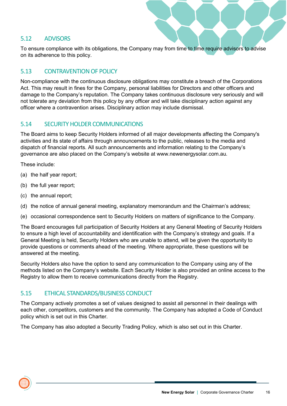#### 5.12 ADVISORS

To ensure compliance with its obligations, the Company may from time to time require advisors to advise on its adherence to this policy.

#### 5.13 CONTRAVENTION OF POLICY

Non-compliance with the continuous disclosure obligations may constitute a breach of the Corporations Act. This may result in fines for the Company, personal liabilities for Directors and other officers and damage to the Company's reputation. The Company takes continuous disclosure very seriously and will not tolerate any deviation from this policy by any officer and will take disciplinary action against any officer where a contravention arises. Disciplinary action may include dismissal.

#### 5.14 SECURITY HOLDER COMMUNICATIONS

The Board aims to keep Security Holders informed of all major developments affecting the Company's activities and its state of affairs through announcements to the public, releases to the media and dispatch of financial reports. All such announcements and information relating to the Company's governance are also placed on the Company's website at www.newenergysolar.com.au.

These include:

- (a) the half year report;
- (b) the full year report;
- (c) the annual report;
- (d) the notice of annual general meeting, explanatory memorandum and the Chairman's address;
- (e) occasional correspondence sent to Security Holders on matters of significance to the Company.

The Board encourages full participation of Security Holders at any General Meeting of Security Holders to ensure a high level of accountability and identification with the Company's strategy and goals. If a General Meeting is held, Security Holders who are unable to attend, will be given the opportunity to provide questions or comments ahead of the meeting. Where appropriate, these questions will be answered at the meeting.

Security Holders also have the option to send any communication to the Company using any of the methods listed on the Company's website. Each Security Holder is also provided an online access to the Registry to allow them to receive communications directly from the Registry.

#### 5.15 ETHICAL STANDARDS/BUSINESS CONDUCT

The Company actively promotes a set of values designed to assist all personnel in their dealings with each other, competitors, customers and the community. The Company has adopted a Code of Conduct policy which is set out in this Charter.

The Company has also adopted a Security Trading Policy, which is also set out in this Charter.

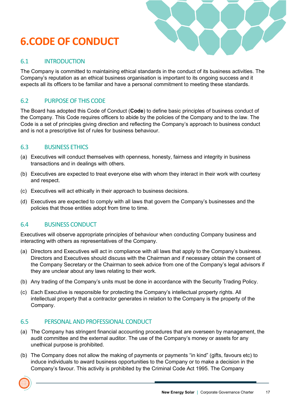# <span id="page-16-0"></span>**6.CODE OF CONDUCT**



#### 6.1 INTRODUCTION

The Company is committed to maintaining ethical standards in the conduct of its business activities. The Company's reputation as an ethical business organisation is important to its ongoing success and it expects all its officers to be familiar and have a personal commitment to meeting these standards.

# 6.2 PURPOSE OF THIS CODE

The Board has adopted this Code of Conduct (**Code**) to define basic principles of business conduct of the Company. This Code requires officers to abide by the policies of the Company and to the law. The Code is a set of principles giving direction and reflecting the Company's approach to business conduct and is not a prescriptive list of rules for business behaviour.

## 6.3 BUSINESS ETHICS

- (a) Executives will conduct themselves with openness, honesty, fairness and integrity in business transactions and in dealings with others.
- (b) Executives are expected to treat everyone else with whom they interact in their work with courtesy and respect.
- (c) Executives will act ethically in their approach to business decisions.
- (d) Executives are expected to comply with all laws that govern the Company's businesses and the policies that those entities adopt from time to time.

## 6.4 BUSINESS CONDUCT

Executives will observe appropriate principles of behaviour when conducting Company business and interacting with others as representatives of the Company.

- (a) Directors and Executives will act in compliance with all laws that apply to the Company's business. Directors and Executives should discuss with the Chairman and if necessary obtain the consent of the Company Secretary or the Chairman to seek advice from one of the Company's legal advisors if they are unclear about any laws relating to their work.
- (b) Any trading of the Company's units must be done in accordance with the Security Trading Policy.
- (c) Each Executive is responsible for protecting the Company's intellectual property rights. All intellectual property that a contractor generates in relation to the Company is the property of the Company.

#### 6.5 PERSONAL AND PROFESSIONAL CONDUCT

- (a) The Company has stringent financial accounting procedures that are overseen by management, the audit committee and the external auditor. The use of the Company's money or assets for any unethical purpose is prohibited.
- (b) The Company does not allow the making of payments or payments "in kind" (gifts, favours etc) to induce individuals to award business opportunities to the Company or to make a decision in the Company's favour. This activity is prohibited by the Criminal Code Act 1995. The Company

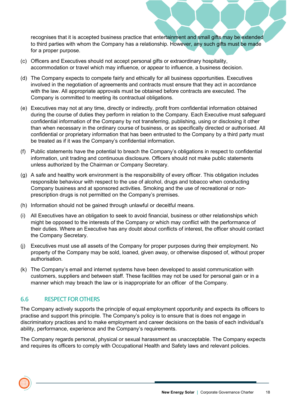recognises that it is accepted business practice that entertainment and small gifts may be extended to third parties with whom the Company has a relationship. However, any such gifts must be made for a proper purpose.

- (c) Officers and Executives should not accept personal gifts or extraordinary hospitality, accommodation or travel which may influence, or appear to influence, a business decision.
- (d) The Company expects to compete fairly and ethically for all business opportunities. Executives involved in the negotiation of agreements and contracts must ensure that they act in accordance with the law. All appropriate approvals must be obtained before contracts are executed. The Company is committed to meeting its contractual obligations.
- (e) Executives may not at any time, directly or indirectly, profit from confidential information obtained during the course of duties they perform in relation to the Company. Each Executive must safeguard confidential information of the Company by not transferring, publishing, using or disclosing it other than when necessary in the ordinary course of business, or as specifically directed or authorised. All confidential or proprietary information that has been entrusted to the Company by a third party must be treated as if it was the Company's confidential information.
- (f) Public statements have the potential to breach the Company's obligations in respect to confidential information, unit trading and continuous disclosure. Officers should not make public statements unless authorized by the Chairman or Company Secretary.
- (g) A safe and healthy work environment is the responsibility of every officer. This obligation includes responsible behaviour with respect to the use of alcohol, drugs and tobacco when conducting Company business and at sponsored activities. Smoking and the use of recreational or nonprescription drugs is not permitted on the Company's premises.
- (h) Information should not be gained through unlawful or deceitful means.
- (i) All Executives have an obligation to seek to avoid financial, business or other relationships which might be opposed to the interests of the Company or which may conflict with the performance of their duties. Where an Executive has any doubt about conflicts of interest, the officer should contact the Company Secretary.
- (j) Executives must use all assets of the Company for proper purposes during their employment. No property of the Company may be sold, loaned, given away, or otherwise disposed of, without proper authorisation.
- (k) The Company's email and internet systems have been developed to assist communication with customers, suppliers and between staff. These facilities may not be used for personal gain or in a manner which may breach the law or is inappropriate for an officer of the Company.

## 6.6 RESPECT FOR OTHERS

The Company actively supports the principle of equal employment opportunity and expects its officers to practise and support this principle. The Company's policy is to ensure that is does not engage in discriminatory practices and to make employment and career decisions on the basis of each individual's ability, performance, experience and the Company's requirements.

The Company regards personal, physical or sexual harassment as unacceptable. The Company expects and requires its officers to comply with Occupational Health and Safety laws and relevant policies.

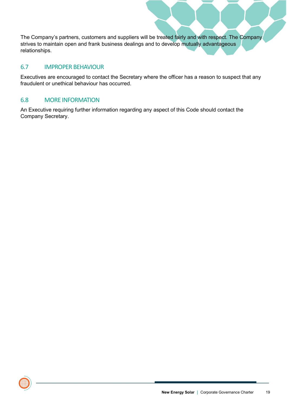The Company's partners, customers and suppliers will be treated fairly and with respect. The Company strives to maintain open and frank business dealings and to develop mutually advantageous relationships.

#### 6.7 IMPROPER BEHAVIOUR

Executives are encouraged to contact the Secretary where the officer has a reason to suspect that any fraudulent or unethical behaviour has occurred.

#### 6.8 MORE INFORMATION

An Executive requiring further information regarding any aspect of this Code should contact the Company Secretary.

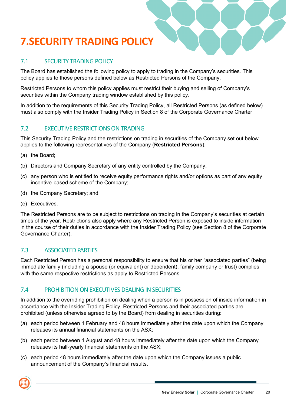# <span id="page-19-0"></span>**7.SECURITY TRADING POLICY**

# 7.1 SECURITY TRADING POLICY

The Board has established the following policy to apply to trading in the Company's securities. This policy applies to those persons defined below as Restricted Persons of the Company.

Restricted Persons to whom this policy applies must restrict their buying and selling of Company's securities within the Company trading window established by this policy.

In addition to the requirements of this Security Trading Policy, all Restricted Persons (as defined below) must also comply with the Insider Trading Policy in Section 8 of the Corporate Governance Charter.

## 7.2 EXECUTIVE RESTRICTIONS ON TRADING

This Security Trading Policy and the restrictions on trading in securities of the Company set out below applies to the following representatives of the Company (**Restricted Persons**):

- (a) the Board;
- (b) Directors and Company Secretary of any entity controlled by the Company;
- (c) any person who is entitled to receive equity performance rights and/or options as part of any equity incentive-based scheme of the Company;
- (d) the Company Secretary; and
- (e) Executives.

The Restricted Persons are to be subject to restrictions on trading in the Company's securities at certain times of the year. Restrictions also apply where any Restricted Person is exposed to inside information in the course of their duties in accordance with the Insider Trading Policy (see Section 8 of the Corporate Governance Charter).

## 7.3 ASSOCIATED PARTIES

Each Restricted Person has a personal responsibility to ensure that his or her "associated parties" (being immediate family (including a spouse (or equivalent) or dependent), family company or trust) complies with the same respective restrictions as apply to Restricted Persons.

#### 7.4 PROHIBITION ON EXECUTIVES DEALING IN SECURITIES

In addition to the overriding prohibition on dealing when a person is in possession of inside information in accordance with the Insider Trading Policy, Restricted Persons and their associated parties are prohibited (unless otherwise agreed to by the Board) from dealing in securities during:

- (a) each period between 1 February and 48 hours immediately after the date upon which the Company releases its annual financial statements on the ASX;
- (b) each period between 1 August and 48 hours immediately after the date upon which the Company releases its half-yearly financial statements on the ASX;
- (c) each period 48 hours immediately after the date upon which the Company issues a public announcement of the Company's financial results.

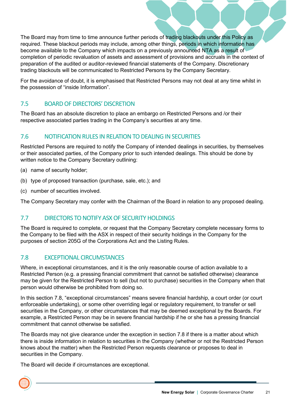The Board may from time to time announce further periods of trading blackouts under this Policy as required. These blackout periods may include, among other things, periods in which information has become available to the Company which impacts on a previously announced NTA as a result of completion of periodic revaluation of assets and assessment of provisions and accruals in the context of preparation of the audited or auditor-reviewed financial statements of the Company. Discretionary trading blackouts will be communicated to Restricted Persons by the Company Secretary.

For the avoidance of doubt, it is emphasised that Restricted Persons may not deal at any time whilst in the possession of "inside Information".

# 7.5 BOARD OF DIRECTORS' DISCRETION

The Board has an absolute discretion to place an embargo on Restricted Persons and /or their respective associated parties trading in the Company's securities at any time.

# 7.6 NOTIFICATION RULES IN RELATION TO DEALING IN SECURITIES

Restricted Persons are required to notify the Company of intended dealings in securities, by themselves or their associated parties, of the Company prior to such intended dealings. This should be done by written notice to the Company Secretary outlining:

- (a) name of security holder;
- (b) type of proposed transaction (purchase, sale, etc.); and
- (c) number of securities involved.

The Company Secretary may confer with the Chairman of the Board in relation to any proposed dealing.

## 7.7 DIRECTORS TO NOTIFY ASX OF SECURITY HOLDINGS

The Board is required to complete, or request that the Company Secretary complete necessary forms to the Company to be filed with the ASX in respect of their security holdings in the Company for the purposes of section 205G of the Corporations Act and the Listing Rules.

## 7.8 EXCEPTIONAL CIRCUMSTANCES

Where, in exceptional circumstances, and it is the only reasonable course of action available to a Restricted Person (e.g. a pressing financial commitment that cannot be satisfied otherwise) clearance may be given for the Restricted Person to sell (but not to purchase) securities in the Company when that person would otherwise be prohibited from doing so.

In this section 7.8, "exceptional circumstances" means severe financial hardship, a court order (or court enforceable undertaking), or some other overriding legal or regulatory requirement, to transfer or sell securities in the Company, or other circumstances that may be deemed exceptional by the Boards. For example, a Restricted Person may be in severe financial hardship if he or she has a pressing financial commitment that cannot otherwise be satisfied.

The Boards may not give clearance under the exception in section 7.8 if there is a matter about which there is inside information in relation to securities in the Company (whether or not the Restricted Person knows about the matter) when the Restricted Person requests clearance or proposes to deal in securities in the Company.

The Board will decide if circumstances are exceptional.

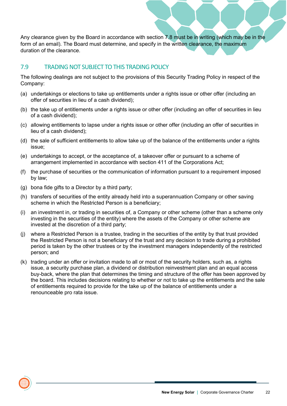Any clearance given by the Board in accordance with section 7.8 must be in writing (which may be in the form of an email). The Board must determine, and specify in the written clearance, the maximum duration of the clearance.

#### 7.9 TRADING NOT SUBJECT TO THIS TRADING POLICY

The following dealings are not subject to the provisions of this Security Trading Policy in respect of the Company:

- (a) undertakings or elections to take up entitlements under a rights issue or other offer (including an offer of securities in lieu of a cash dividend);
- (b) the take up of entitlements under a rights issue or other offer (including an offer of securities in lieu of a cash dividend);
- (c) allowing entitlements to lapse under a rights issue or other offer (including an offer of securities in lieu of a cash dividend);
- (d) the sale of sufficient entitlements to allow take up of the balance of the entitlements under a rights issue;
- (e) undertakings to accept, or the acceptance of, a takeover offer or pursuant to a scheme of arrangement implemented in accordance with section 411 of the Corporations Act;
- (f) the purchase of securities or the communication of information pursuant to a requirement imposed by law;
- (g) bona fide gifts to a Director by a third party;
- (h) transfers of securities of the entity already held into a superannuation Company or other saving scheme in which the Restricted Person is a beneficiary;
- (i) an investment in, or trading in securities of, a Company or other scheme (other than a scheme only investing in the securities of the entity) where the assets of the Company or other scheme are invested at the discretion of a third party;
- (j) where a Restricted Person is a trustee, trading in the securities of the entity by that trust provided the Restricted Person is not a beneficiary of the trust and any decision to trade during a prohibited period is taken by the other trustees or by the investment managers independently of the restricted person; and
- (k) trading under an offer or invitation made to all or most of the security holders, such as, a rights issue, a security purchase plan, a dividend or distribution reinvestment plan and an equal access buy-back, where the plan that determines the timing and structure of the offer has been approved by the board. This includes decisions relating to whether or not to take up the entitlements and the sale of entitlements required to provide for the take up of the balance of entitlements under a renounceable pro rata issue.

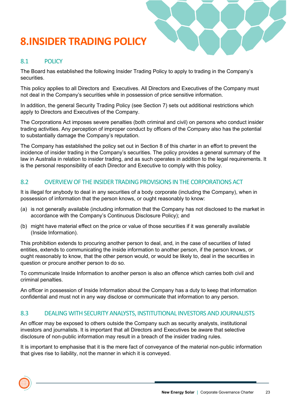# <span id="page-22-0"></span>**8.INSIDER TRADING POLICY**



#### 8.1 POLICY

The Board has established the following Insider Trading Policy to apply to trading in the Company's securities.

This policy applies to all Directors and Executives. All Directors and Executives of the Company must not deal in the Company's securities while in possession of price sensitive information.

In addition, the general Security Trading Policy (see Section 7) sets out additional restrictions which apply to Directors and Executives of the Company.

The Corporations Act imposes severe penalties (both criminal and civil) on persons who conduct insider trading activities. Any perception of improper conduct by officers of the Company also has the potential to substantially damage the Company's reputation.

The Company has established the policy set out in Section 8 of this charter in an effort to prevent the incidence of insider trading in the Company's securities. The policy provides a general summary of the law in Australia in relation to insider trading, and as such operates in addition to the legal requirements. It is the personal responsibility of each Director and Executive to comply with this policy.

#### 8.2 OVERVIEW OF THE INSIDER TRADING PROVISIONS IN THE CORPORATIONS ACT

It is illegal for anybody to deal in any securities of a body corporate (including the Company), when in possession of information that the person knows, or ought reasonably to know:

- (a) is not generally available (including information that the Company has not disclosed to the market in accordance with the Company's Continuous Disclosure Policy); and
- (b) might have material effect on the price or value of those securities if it was generally available (Inside Information).

This prohibition extends to procuring another person to deal, and, in the case of securities of listed entities, extends to communicating the inside information to another person, if the person knows, or ought reasonably to know, that the other person would, or would be likely to, deal in the securities in question or procure another person to do so.

To communicate Inside Information to another person is also an offence which carries both civil and criminal penalties.

An officer in possession of Inside Information about the Company has a duty to keep that information confidential and must not in any way disclose or communicate that information to any person.

#### 8.3 DEALING WITH SECURITY ANALYSTS, INSTITUTIONAL INVESTORS AND JOURNALISTS

An officer may be exposed to others outside the Company such as security analysts, institutional investors and journalists. It is important that all Directors and Executives be aware that selective disclosure of non-public information may result in a breach of the insider trading rules.

It is important to emphasise that it is the mere fact of conveyance of the material non-public information that gives rise to liability, not the manner in which it is conveyed.